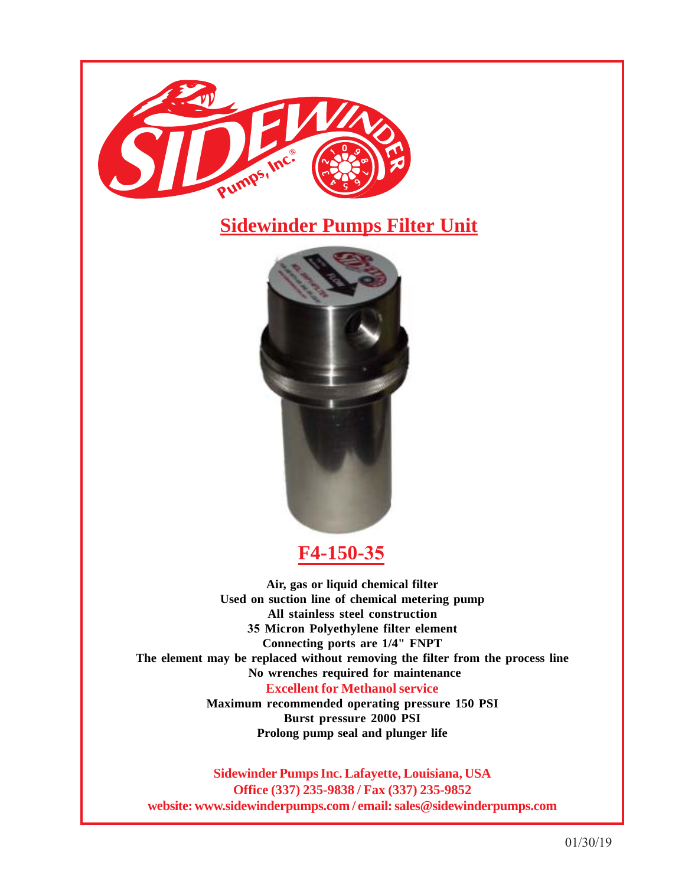

## **Sidewinder Pumps Filter Unit**



## **F4-150-35**

**Air, gas or liquid chemical filter Used on suction line of chemical metering pump All stainless steel construction 35 Micron Polyethylene filter element Connecting ports are 1/4" FNPT The element may be replaced without removing the filter from the process line No wrenches required for maintenance Excellent for Methanol service Maximum recommended operating pressure 150 PSI**

**Burst pressure 2000 PSI Prolong pump seal and plunger life**

**Sidewinder Pumps Inc. Lafayette, Louisiana, USA Office (337) 235-9838 / Fax (337) 235-9852 website: www.sidewinderpumps.com / email: sales@sidewinderpumps.com**